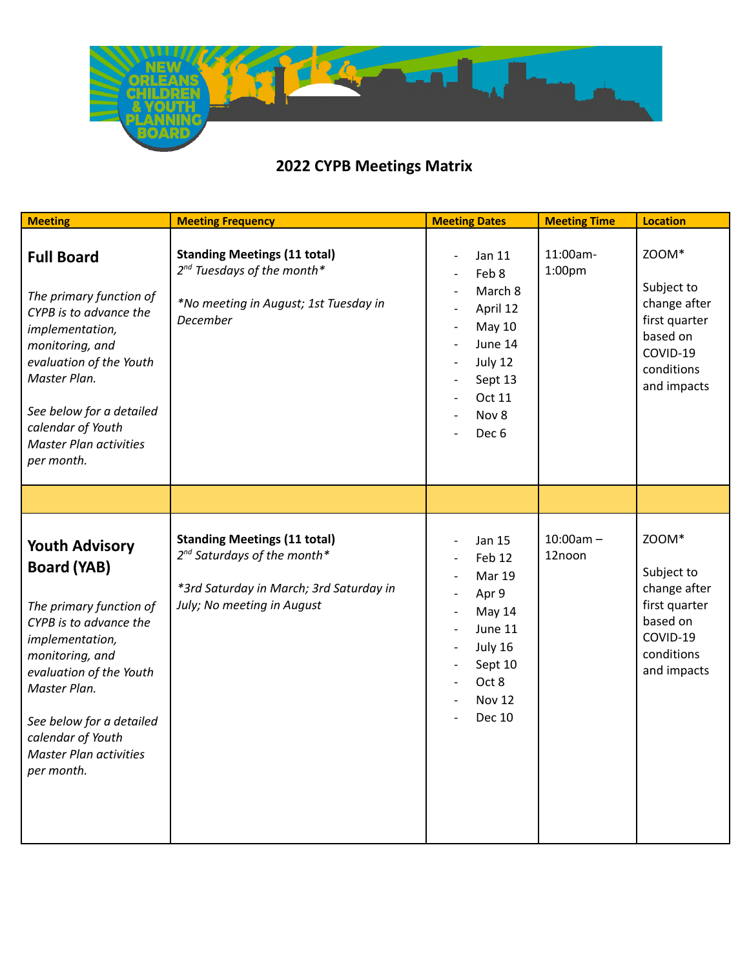

| <b>Meeting</b>                                                                                                                                                                                                                                                                    | <b>Meeting Frequency</b>                                                                                                                                | <b>Meeting Dates</b>                                                                                                                    | <b>Meeting Time</b>            | <b>Location</b>                                                                                           |
|-----------------------------------------------------------------------------------------------------------------------------------------------------------------------------------------------------------------------------------------------------------------------------------|---------------------------------------------------------------------------------------------------------------------------------------------------------|-----------------------------------------------------------------------------------------------------------------------------------------|--------------------------------|-----------------------------------------------------------------------------------------------------------|
| <b>Full Board</b><br>The primary function of<br>CYPB is to advance the<br>implementation,<br>monitoring, and<br>evaluation of the Youth<br>Master Plan.<br>See below for a detailed<br>calendar of Youth<br><b>Master Plan activities</b><br>per month.                           | <b>Standing Meetings (11 total)</b><br>2 <sup>nd</sup> Tuesdays of the month*<br>*No meeting in August; 1st Tuesday in<br>December                      | Jan 11<br>Feb 8<br>March 8<br>April 12<br>May 10<br>June 14<br>July 12<br>Sept 13<br>Oct 11<br>Nov 8<br>Dec <sub>6</sub>                | 11:00am-<br>1:00 <sub>pm</sub> | ZOOM*<br>Subject to<br>change after<br>first quarter<br>based on<br>COVID-19<br>conditions<br>and impacts |
|                                                                                                                                                                                                                                                                                   |                                                                                                                                                         |                                                                                                                                         |                                |                                                                                                           |
| <b>Youth Advisory</b><br><b>Board (YAB)</b><br>The primary function of<br>CYPB is to advance the<br>implementation,<br>monitoring, and<br>evaluation of the Youth<br>Master Plan.<br>See below for a detailed<br>calendar of Youth<br><b>Master Plan activities</b><br>per month. | <b>Standing Meetings (11 total)</b><br>2 <sup>nd</sup> Saturdays of the month*<br>*3rd Saturday in March; 3rd Saturday in<br>July; No meeting in August | <b>Jan 15</b><br>Feb 12<br><b>Mar 19</b><br>Apr 9<br>May 14<br>June 11<br>July 16<br>Sept 10<br>Oct 8<br><b>Nov 12</b><br><b>Dec 10</b> | $10:00am -$<br>12noon          | ZOOM*<br>Subject to<br>change after<br>first quarter<br>based on<br>COVID-19<br>conditions<br>and impacts |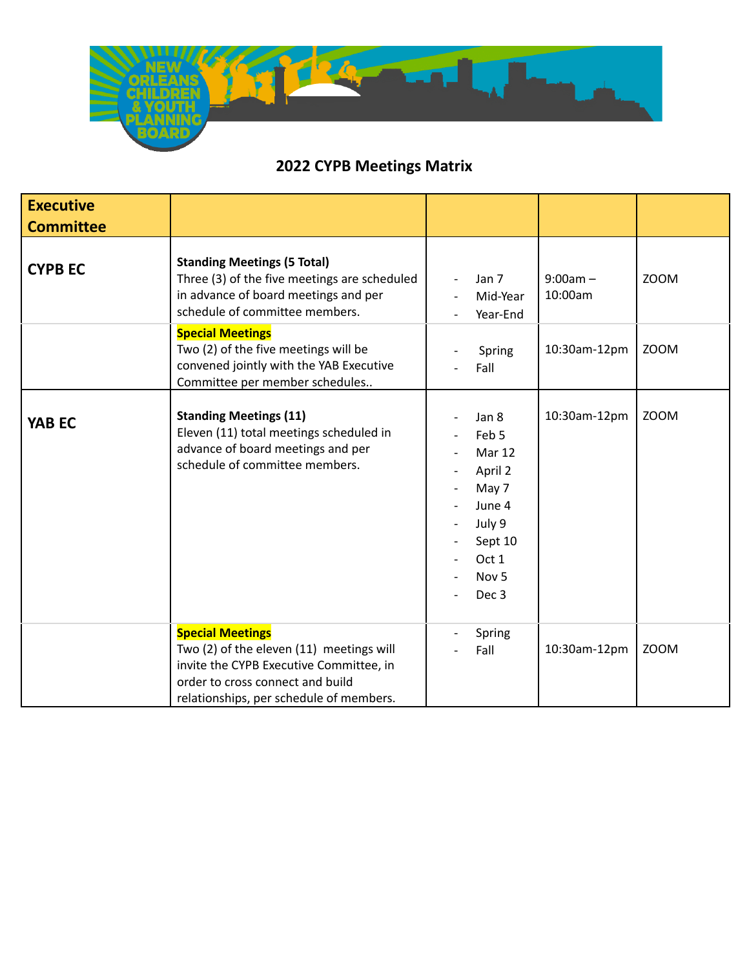

| <b>Executive</b><br><b>Committee</b> |                                                                                                                                                                                               |                                                                                                                          |                                               |              |             |
|--------------------------------------|-----------------------------------------------------------------------------------------------------------------------------------------------------------------------------------------------|--------------------------------------------------------------------------------------------------------------------------|-----------------------------------------------|--------------|-------------|
| <b>CYPB EC</b>                       | <b>Standing Meetings (5 Total)</b><br>Three (3) of the five meetings are scheduled<br>in advance of board meetings and per<br>schedule of committee members.                                  | Jan 7                                                                                                                    | $9:00am -$<br>10:00am<br>Mid-Year<br>Year-End |              | <b>ZOOM</b> |
|                                      | <b>Special Meetings</b><br>Two (2) of the five meetings will be<br>convened jointly with the YAB Executive<br>Committee per member schedules                                                  | Spring<br>Fall                                                                                                           |                                               | 10:30am-12pm | <b>ZOOM</b> |
| <b>YAB EC</b>                        | <b>Standing Meetings (11)</b><br>Eleven (11) total meetings scheduled in<br>advance of board meetings and per<br>schedule of committee members.                                               | Jan 8<br>Feb 5<br><b>Mar 12</b><br>April 2<br>May 7<br>June 4<br>July 9<br>Sept 10<br>Oct 1<br>Nov <sub>5</sub><br>Dec 3 |                                               | 10:30am-12pm | <b>ZOOM</b> |
|                                      | <b>Special Meetings</b><br>Two (2) of the eleven (11) meetings will<br>invite the CYPB Executive Committee, in<br>order to cross connect and build<br>relationships, per schedule of members. | Spring<br>Fall                                                                                                           |                                               | 10:30am-12pm | <b>ZOOM</b> |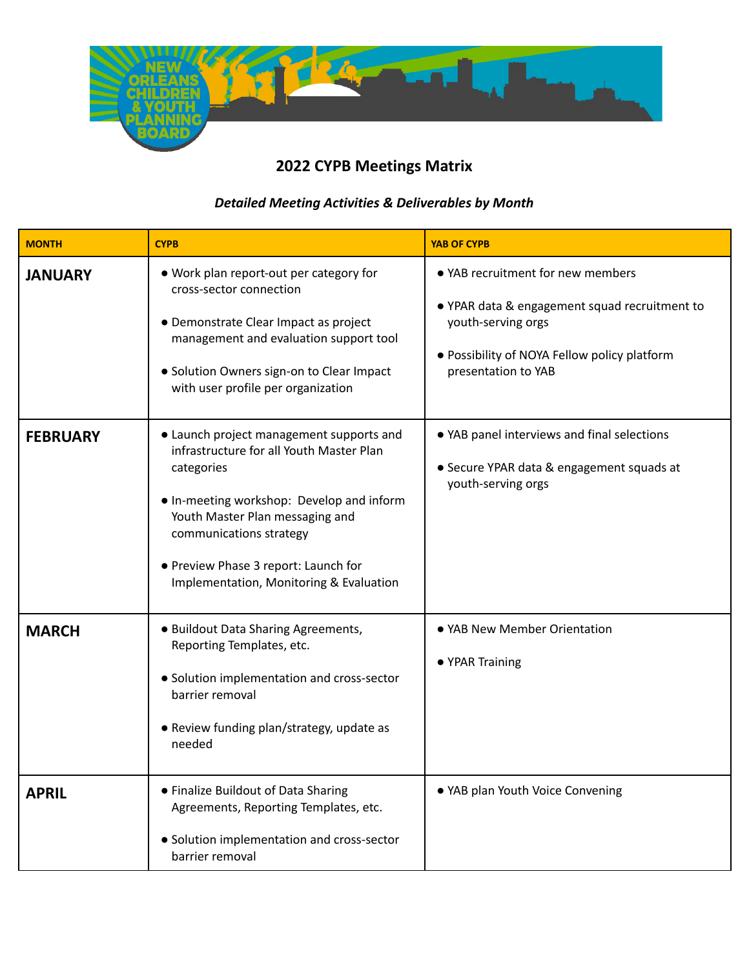

#### *Detailed Meeting Activities & Deliverables by Month*

| <b>MONTH</b>    | <b>CYPB</b>                                                                                                                                                                                                                                                                                      | <b>YAB OF CYPB</b>                                                                                                                                                              |
|-----------------|--------------------------------------------------------------------------------------------------------------------------------------------------------------------------------------------------------------------------------------------------------------------------------------------------|---------------------------------------------------------------------------------------------------------------------------------------------------------------------------------|
| <b>JANUARY</b>  | . Work plan report-out per category for<br>cross-sector connection<br>• Demonstrate Clear Impact as project<br>management and evaluation support tool<br>· Solution Owners sign-on to Clear Impact<br>with user profile per organization                                                         | • YAB recruitment for new members<br>• YPAR data & engagement squad recruitment to<br>youth-serving orgs<br>• Possibility of NOYA Fellow policy platform<br>presentation to YAB |
| <b>FEBRUARY</b> | • Launch project management supports and<br>infrastructure for all Youth Master Plan<br>categories<br>. In-meeting workshop: Develop and inform<br>Youth Master Plan messaging and<br>communications strategy<br>• Preview Phase 3 report: Launch for<br>Implementation, Monitoring & Evaluation | • YAB panel interviews and final selections<br>• Secure YPAR data & engagement squads at<br>youth-serving orgs                                                                  |
| <b>MARCH</b>    | • Buildout Data Sharing Agreements,<br>Reporting Templates, etc.<br>• Solution implementation and cross-sector<br>barrier removal<br>• Review funding plan/strategy, update as<br>needed                                                                                                         | • YAB New Member Orientation<br>• YPAR Training                                                                                                                                 |
| <b>APRIL</b>    | • Finalize Buildout of Data Sharing<br>Agreements, Reporting Templates, etc.<br>• Solution implementation and cross-sector<br>barrier removal                                                                                                                                                    | • YAB plan Youth Voice Convening                                                                                                                                                |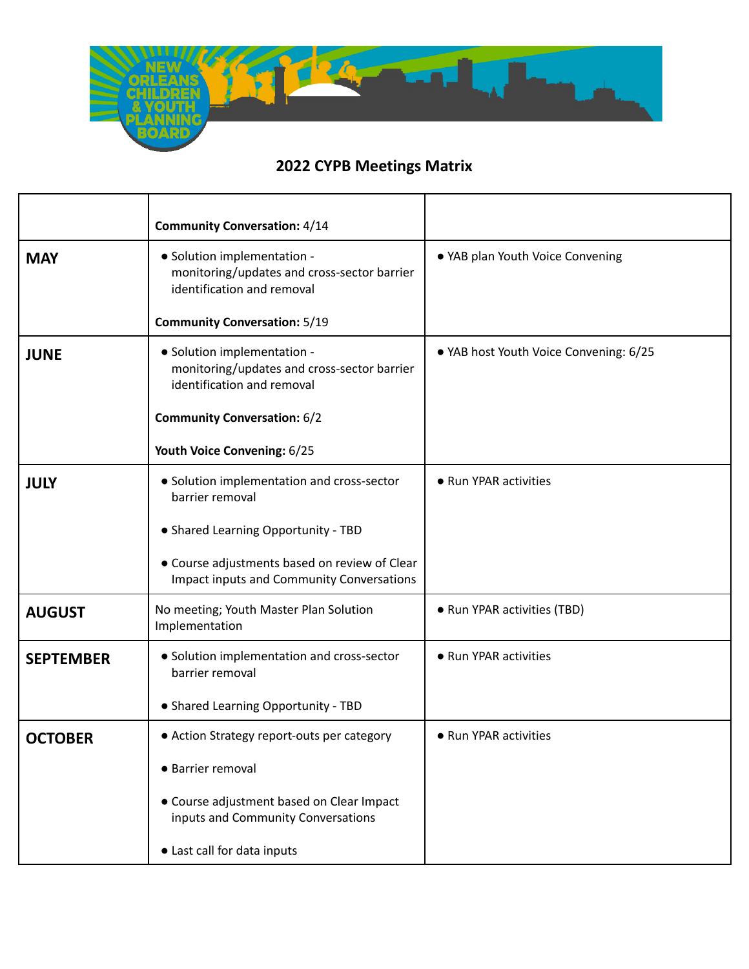

|                  | <b>Community Conversation: 4/14</b>                                                                      |                                        |
|------------------|----------------------------------------------------------------------------------------------------------|----------------------------------------|
| <b>MAY</b>       | • Solution implementation -<br>monitoring/updates and cross-sector barrier<br>identification and removal | . YAB plan Youth Voice Convening       |
|                  | <b>Community Conversation: 5/19</b>                                                                      |                                        |
| <b>JUNE</b>      | • Solution implementation -<br>monitoring/updates and cross-sector barrier<br>identification and removal | • YAB host Youth Voice Convening: 6/25 |
|                  | <b>Community Conversation: 6/2</b>                                                                       |                                        |
|                  | Youth Voice Convening: 6/25                                                                              |                                        |
| <b>JULY</b>      | • Solution implementation and cross-sector<br>barrier removal                                            | • Run YPAR activities                  |
|                  | • Shared Learning Opportunity - TBD                                                                      |                                        |
|                  | • Course adjustments based on review of Clear<br><b>Impact inputs and Community Conversations</b>        |                                        |
| <b>AUGUST</b>    | No meeting; Youth Master Plan Solution<br>Implementation                                                 | • Run YPAR activities (TBD)            |
| <b>SEPTEMBER</b> | • Solution implementation and cross-sector<br>barrier removal                                            | • Run YPAR activities                  |
|                  | • Shared Learning Opportunity - TBD                                                                      |                                        |
| <b>OCTOBER</b>   | • Action Strategy report-outs per category                                                               | • Run YPAR activities                  |
|                  | • Barrier removal                                                                                        |                                        |
|                  | • Course adjustment based on Clear Impact<br>inputs and Community Conversations                          |                                        |
|                  | • Last call for data inputs                                                                              |                                        |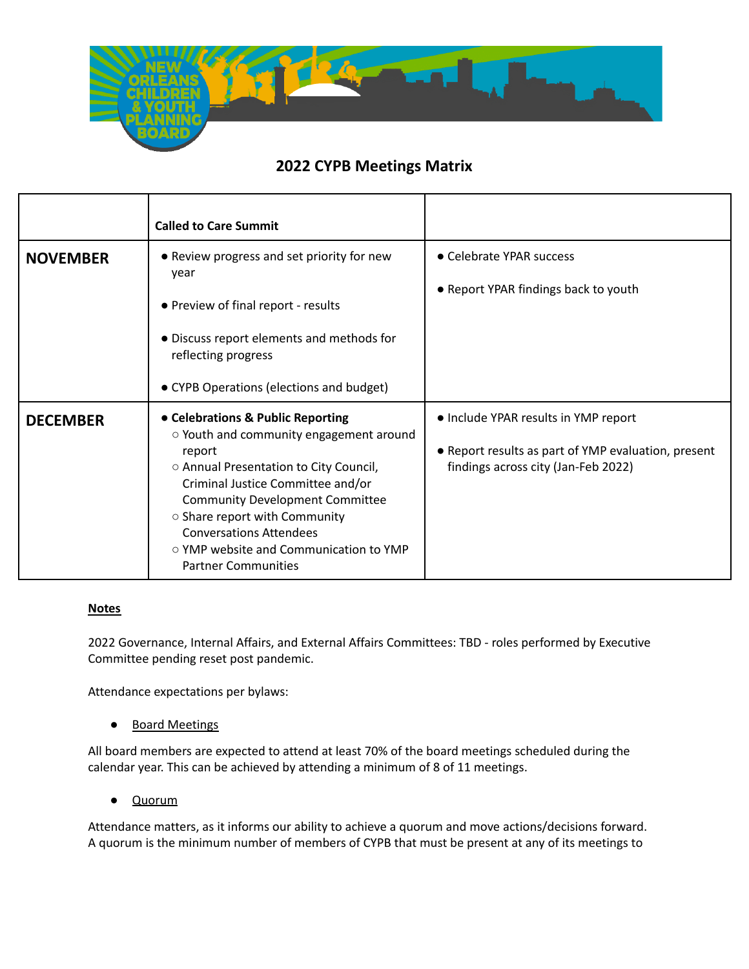

|                 | <b>Called to Care Summit</b>                                                                                                                                                                                                                                                                                                                                      |                                                                                                                                    |
|-----------------|-------------------------------------------------------------------------------------------------------------------------------------------------------------------------------------------------------------------------------------------------------------------------------------------------------------------------------------------------------------------|------------------------------------------------------------------------------------------------------------------------------------|
| <b>NOVEMBER</b> | • Review progress and set priority for new<br>year<br>• Preview of final report - results<br>• Discuss report elements and methods for<br>reflecting progress<br>• CYPB Operations (elections and budget)                                                                                                                                                         | • Celebrate YPAR success<br>• Report YPAR findings back to youth                                                                   |
| <b>DECEMBER</b> | • Celebrations & Public Reporting<br>o Youth and community engagement around<br>report<br>○ Annual Presentation to City Council,<br>Criminal Justice Committee and/or<br><b>Community Development Committee</b><br>○ Share report with Community<br><b>Conversations Attendees</b><br><b>O YMP website and Communication to YMP</b><br><b>Partner Communities</b> | • Include YPAR results in YMP report<br>• Report results as part of YMP evaluation, present<br>findings across city (Jan-Feb 2022) |

#### **Notes**

2022 Governance, Internal Affairs, and External Affairs Committees: TBD - roles performed by Executive Committee pending reset post pandemic.

Attendance expectations per bylaws:

● Board Meetings

All board members are expected to attend at least 70% of the board meetings scheduled during the calendar year. This can be achieved by attending a minimum of 8 of 11 meetings.

● Quorum

Attendance matters, as it informs our ability to achieve a quorum and move actions/decisions forward. A quorum is the minimum number of members of CYPB that must be present at any of its meetings to